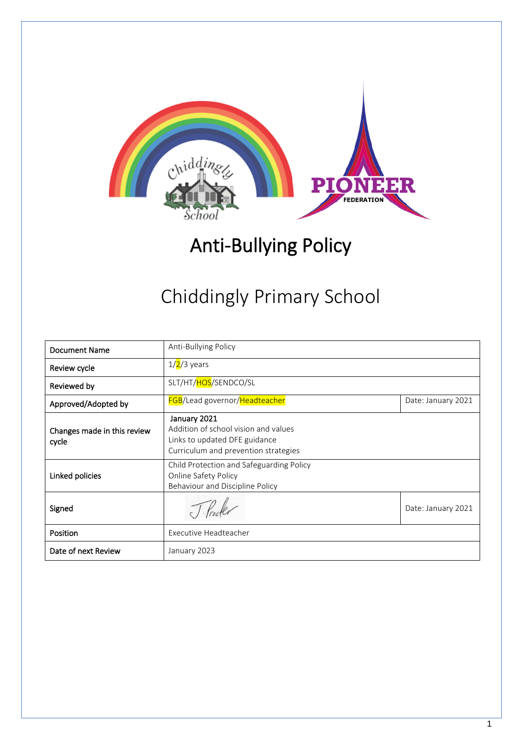

# Anti-Bullying Policy

# Chiddingly Primary School

| <b>Document Name</b>                 | Anti-Bullying Policy                                                                                                          |                    |
|--------------------------------------|-------------------------------------------------------------------------------------------------------------------------------|--------------------|
| Review cycle                         | $1/2/3$ years                                                                                                                 |                    |
| Reviewed by                          | SLT/HT/HOS/SENDCO/SL                                                                                                          |                    |
| Approved/Adopted by                  | <b>FGB</b> /Lead governor/Headteacher                                                                                         | Date: January 2021 |
| Changes made in this review<br>cycle | January 2021<br>Addition of school vision and values<br>Links to updated DFE guidance<br>Curriculum and prevention strategies |                    |
| Linked policies                      | Child Protection and Safeguarding Policy<br>Online Safety Policy<br>Behaviour and Discipline Policy                           |                    |
| Signed                               | Theler                                                                                                                        | Date: January 2021 |
| Position                             | Executive Headteacher                                                                                                         |                    |
| Date of next Review                  | January 2023                                                                                                                  |                    |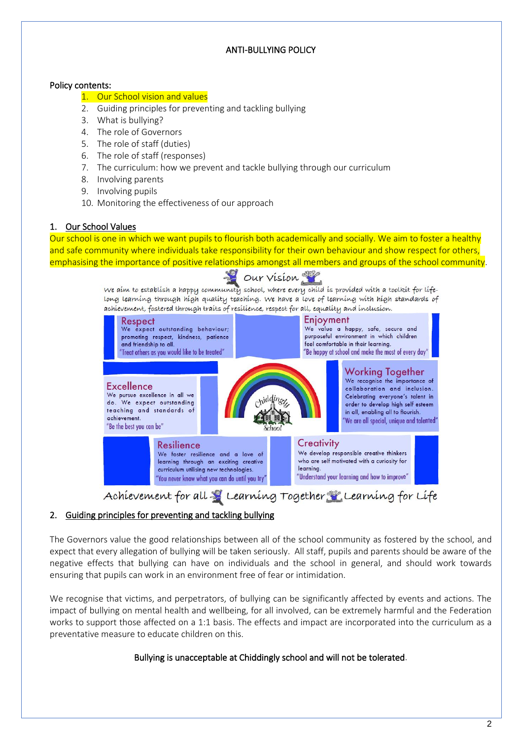## ANTI-BULLYING POLICY

## Policy contents:

## 1. Our School vision and values

- 2. Guiding principles for preventing and tackling bullying
- 3. What is bullying?
- 4. The role of Governors
- 5. The role of staff (duties)
- 6. The role of staff (responses)
- 7. The curriculum: how we prevent and tackle bullying through our curriculum
- 8. Involving parents
- 9. Involving pupils
- 10. Monitoring the effectiveness of our approach

## 1. Our School Values

Our school is one in which we want pupils to flourish both academically and socially. We aim to foster a healthy and safe community where individuals take responsibility for their own behaviour and show respect for others, emphasising the importance of positive relationships amongst all members and groups of the school community.

# Our Vision

We aim to establish a happy community school, where every child is provided with a toolkit for lifelong learning through high quality teaching. We have a love of learning with high standards of achievement, fostered through traits of resilience, respect for all, equality and inclusion.



Achievement for all & Learning Together Learning for Life

# 2. Guiding principles for preventing and tackling bullying

The Governors value the good relationships between all of the school community as fostered by the school, and expect that every allegation of bullying will be taken seriously. All staff, pupils and parents should be aware of the negative effects that bullying can have on individuals and the school in general, and should work towards ensuring that pupils can work in an environment free of fear or intimidation.

We recognise that victims, and perpetrators, of bullying can be significantly affected by events and actions. The impact of bullying on mental health and wellbeing, for all involved, can be extremely harmful and the Federation works to support those affected on a 1:1 basis. The effects and impact are incorporated into the curriculum as a preventative measure to educate children on this.

## Bullying is unacceptable at Chiddingly school and will not be tolerated.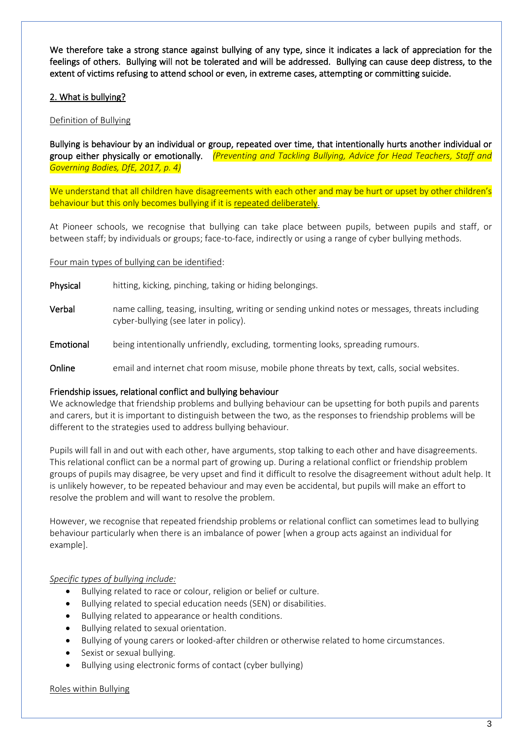We therefore take a strong stance against bullying of any type, since it indicates a lack of appreciation for the feelings of others. Bullying will not be tolerated and will be addressed. Bullying can cause deep distress, to the extent of victims refusing to attend school or even, in extreme cases, attempting or committing suicide.

## 2. What is bullying?

## Definition of Bullying

Bullying is behaviour by an individual or group, repeated over time, that intentionally hurts another individual or group either physically or emotionally. *(Preventing and Tackling Bullying, Advice for Head Teachers, Staff and Governing Bodies, DfE, 2017, p. 4)*

We understand that all children have disagreements with each other and may be hurt or upset by other children's behaviour but this only becomes bullying if it is repeated deliberately.

At Pioneer schools, we recognise that bullying can take place between pupils, between pupils and staff, or between staff; by individuals or groups; face-to-face, indirectly or using a range of cyber bullying methods.

#### Four main types of bullying can be identified:

- Physical hitting, kicking, pinching, taking or hiding belongings.
- Verbal name calling, teasing, insulting, writing or sending unkind notes or messages, threats including cyber-bullying (see later in policy).
- Emotional being intentionally unfriendly, excluding, tormenting looks, spreading rumours.
- Online email and internet chat room misuse, mobile phone threats by text, calls, social websites.

#### Friendship issues, relational conflict and bullying behaviour

We acknowledge that friendship problems and bullying behaviour can be upsetting for both pupils and parents and carers, but it is important to distinguish between the two, as the responses to friendship problems will be different to the strategies used to address bullying behaviour.

Pupils will fall in and out with each other, have arguments, stop talking to each other and have disagreements. This relational conflict can be a normal part of growing up. During a relational conflict or friendship problem groups of pupils may disagree, be very upset and find it difficult to resolve the disagreement without adult help. It is unlikely however, to be repeated behaviour and may even be accidental, but pupils will make an effort to resolve the problem and will want to resolve the problem.

However, we recognise that repeated friendship problems or relational conflict can sometimes lead to bullying behaviour particularly when there is an imbalance of power [when a group acts against an individual for example].

#### *Specific types of bullying include:*

- Bullying related to race or colour, religion or belief or culture.
- Bullying related to special education needs (SEN) or disabilities.
- Bullying related to appearance or health conditions.
- Bullying related to sexual orientation.
- Bullying of young carers or looked-after children or otherwise related to home circumstances.
- Sexist or sexual bullying.
- Bullying using electronic forms of contact (cyber bullying)

#### Roles within Bullying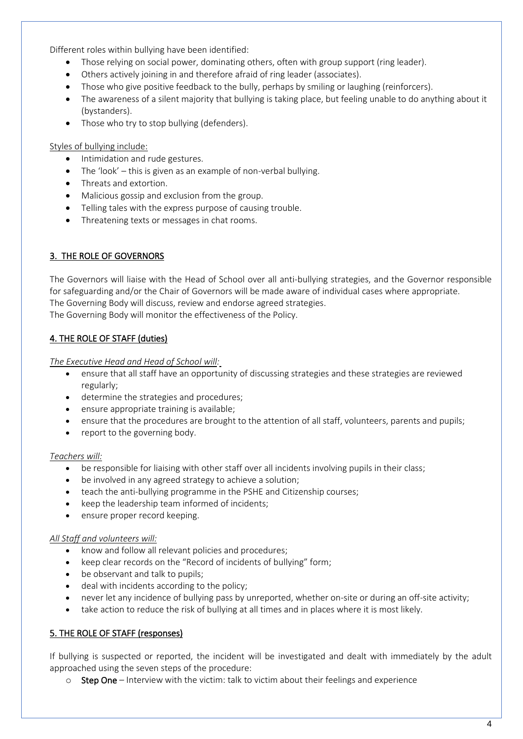Different roles within bullying have been identified:

- Those relying on social power, dominating others, often with group support (ring leader).
- Others actively joining in and therefore afraid of ring leader (associates).
- Those who give positive feedback to the bully, perhaps by smiling or laughing (reinforcers).
- The awareness of a silent majority that bullying is taking place, but feeling unable to do anything about it (bystanders).
- Those who try to stop bullying (defenders).

#### Styles of bullying include:

- Intimidation and rude gestures.
- The 'look' this is given as an example of non-verbal bullying.
- Threats and extortion.
- Malicious gossip and exclusion from the group.
- Telling tales with the express purpose of causing trouble.
- Threatening texts or messages in chat rooms.

## 3. THE ROLE OF GOVERNORS

The Governors will liaise with the Head of School over all anti-bullying strategies, and the Governor responsible for safeguarding and/or the Chair of Governors will be made aware of individual cases where appropriate. The Governing Body will discuss, review and endorse agreed strategies.

The Governing Body will monitor the effectiveness of the Policy.

## 4. THE ROLE OF STAFF (duties)

*The Executive Head and Head of School will:*

- ensure that all staff have an opportunity of discussing strategies and these strategies are reviewed regularly;
- determine the strategies and procedures;
- ensure appropriate training is available;
- ensure that the procedures are brought to the attention of all staff, volunteers, parents and pupils;
- report to the governing body.

#### *Teachers will:*

- be responsible for liaising with other staff over all incidents involving pupils in their class;
- be involved in any agreed strategy to achieve a solution;
- teach the anti-bullying programme in the PSHE and Citizenship courses;
- keep the leadership team informed of incidents;
- ensure proper record keeping.

#### *All Staff and volunteers will:*

- know and follow all relevant policies and procedures;
- keep clear records on the "Record of incidents of bullying" form;
- be observant and talk to pupils;
- deal with incidents according to the policy;
- never let any incidence of bullying pass by unreported, whether on-site or during an off-site activity;
- take action to reduce the risk of bullying at all times and in places where it is most likely.

## 5. THE ROLE OF STAFF (responses)

If bullying is suspected or reported, the incident will be investigated and dealt with immediately by the adult approached using the seven steps of the procedure:

o Step One – Interview with the victim: talk to victim about their feelings and experience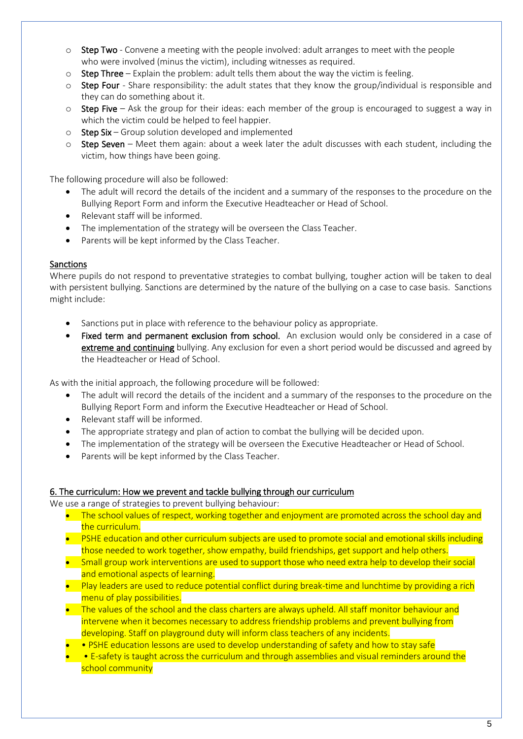- $\circ$  Step Two Convene a meeting with the people involved: adult arranges to meet with the people who were involved (minus the victim), including witnesses as required.
- $\circ$  Step Three Explain the problem: adult tells them about the way the victim is feeling.
- $\circ$  Step Four Share responsibility: the adult states that they know the group/individual is responsible and they can do something about it.
- o Step Five Ask the group for their ideas: each member of the group is encouraged to suggest a way in which the victim could be helped to feel happier.
- $\circ$  Step Six Group solution developed and implemented
- $\circ$  Step Seven Meet them again: about a week later the adult discusses with each student, including the victim, how things have been going.

The following procedure will also be followed:

- The adult will record the details of the incident and a summary of the responses to the procedure on the Bullying Report Form and inform the Executive Headteacher or Head of School.
- Relevant staff will be informed.
- The implementation of the strategy will be overseen the Class Teacher.
- Parents will be kept informed by the Class Teacher.

## **Sanctions**

Where pupils do not respond to preventative strategies to combat bullying, tougher action will be taken to deal with persistent bullying. Sanctions are determined by the nature of the bullying on a case to case basis. Sanctions might include:

- Sanctions put in place with reference to the behaviour policy as appropriate.
- Fixed term and permanent exclusion from school. An exclusion would only be considered in a case of extreme and continuing bullying. Any exclusion for even a short period would be discussed and agreed by the Headteacher or Head of School.

As with the initial approach, the following procedure will be followed:

- The adult will record the details of the incident and a summary of the responses to the procedure on the Bullying Report Form and inform the Executive Headteacher or Head of School.
- Relevant staff will be informed.
- The appropriate strategy and plan of action to combat the bullying will be decided upon.
- The implementation of the strategy will be overseen the Executive Headteacher or Head of School.
- Parents will be kept informed by the Class Teacher.

## 6. The curriculum: How we prevent and tackle bullying through our curriculum

We use a range of strategies to prevent bullying behaviour:

- The school values of respect, working together and enjoyment are promoted across the school day and the curriculum.
- PSHE education and other curriculum subjects are used to promote social and emotional skills including those needed to work together, show empathy, build friendships, get support and help others.
- Small group work interventions are used to support those who need extra help to develop their social and emotional aspects of learning.
- Play leaders are used to reduce potential conflict during break-time and lunchtime by providing a rich menu of play possibilities.
- The values of the school and the class charters are always upheld. All staff monitor behaviour and intervene when it becomes necessary to address friendship problems and prevent bullying from developing. Staff on playground duty will inform class teachers of any incidents.
- • PSHE education lessons are used to develop understanding of safety and how to stay safe
- • E-safety is taught across the curriculum and through assemblies and visual reminders around the school community